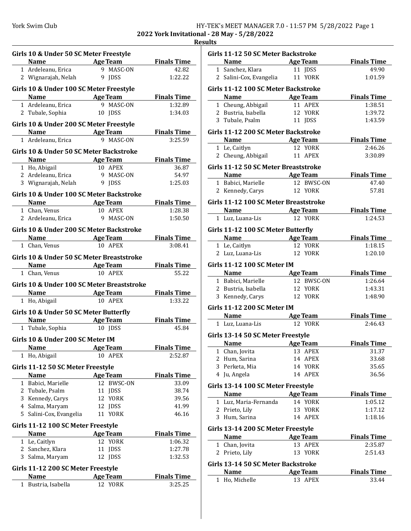| HY-TEK's MEET MANAGER 7.0 - 11:57 PM 5/28/2022 Page 1 |  |
|-------------------------------------------------------|--|
|-------------------------------------------------------|--|

**2022 York Invitational - 28 May - 5/28/2022 Results**

| <b>Name Age Team</b>                                                  | Girls 10 & Under 50 SC Meter Freestyle | <b>Finals Time</b> |
|-----------------------------------------------------------------------|----------------------------------------|--------------------|
| 1 Ardeleanu, Erica                                                    | 9 MASC-ON                              | 42.82              |
| 2 Wignarajah, Nelah                                                   | 9 IDSS                                 | 1:22.22            |
|                                                                       |                                        |                    |
| Girls 10 & Under 100 SC Meter Freestyle                               |                                        |                    |
| <b>Name Age Team</b>                                                  |                                        | <b>Finals Time</b> |
| 1 Ardeleanu, Erica                                                    | 9 MASC-ON                              | 1:32.89            |
| 2 Tubale, Sophia                                                      | 10 JDSS                                | 1:34.03            |
| Girls 10 & Under 200 SC Meter Freestyle                               |                                        |                    |
| <b>Example 20 Age Team</b>                                            |                                        | <b>Finals Time</b> |
| 1 Ardeleanu, Erica                                                    | 9 MASC-ON                              | 3:25.59            |
| Girls 10 & Under 50 SC Meter Backstroke                               |                                        |                    |
| Name Age Team                                                         |                                        | <b>Finals Time</b> |
| 1 Ho, Abigail                                                         | 10 APEX                                | 36.87              |
| 2 Ardeleanu, Erica 9 MASC-ON                                          |                                        | 54.97              |
| 3 Wignarajah, Nelah 9 JDSS                                            |                                        | 1:25.03            |
| Girls 10 & Under 100 SC Meter Backstroke                              |                                        |                    |
| <b>Example 20 Age Team</b>                                            |                                        | <b>Finals Time</b> |
| 1 Chan, Venus                                                         | 10 APEX                                | 1:28.38            |
| 2 Ardeleanu, Erica 9 MASC-ON                                          |                                        | 1:50.50            |
|                                                                       |                                        |                    |
| Girls 10 & Under 200 SC Meter Backstroke                              |                                        |                    |
| <b>Name Age Team</b>                                                  |                                        | <b>Finals Time</b> |
| 1 Chan, Venus                                                         | 10 APEX                                | 3:08.41            |
| Girls 10 & Under 50 SC Meter Breaststroke                             |                                        |                    |
| Name Age Team                                                         |                                        | <b>Finals Time</b> |
| 1 Chan, Venus                                                         | 10 APEX                                | 55.22              |
| Girls 10 & Under 100 SC Meter Breaststroke                            |                                        |                    |
|                                                                       |                                        | <b>Finals Time</b> |
| <b>Name Age Team</b><br>1 Ho, Abigail <b>10 APEX</b><br>1 Ho, Abigail |                                        | 1:33.22            |
|                                                                       |                                        |                    |
| Girls 10 & Under 50 SC Meter Butterfly                                |                                        |                    |
| <b>Example 2 Solution Age Team Finals Time</b>                        | 10 JDSS                                | 45.84              |
| 1 Tubale, Sophia                                                      |                                        |                    |
| Girls 10 & Under 200 SC Meter IM                                      |                                        |                    |
| <b>Name</b>                                                           | <b>Age Team</b>                        | <b>Finals Time</b> |
| 1 Ho, Abigail                                                         | 10 APEX                                | 2:52.87            |
| Girls 11-12 50 SC Meter Freestyle                                     |                                        |                    |
| <b>Name</b>                                                           | <b>Age Team</b>                        | <b>Finals Time</b> |
| 1 Babici, Marielle                                                    | 12 BWSC-ON                             | 33.09              |
| 2 Tubale, Psalm                                                       | 11 JDSS                                | 38.74              |
| 3 Kennedy, Carys                                                      | 12 YORK                                | 39.56              |
| 4 Salma, Maryam                                                       | 12 JDSS                                | 41.99              |
| 5 Salini-Cox, Evangelia                                               | 11 YORK                                | 46.16              |
| Girls 11-12 100 SC Meter Freestyle                                    |                                        |                    |
| <b>Name</b>                                                           | Age Team                               | <b>Finals Time</b> |
| 1 Le, Caitlyn                                                         | 12 YORK                                | 1:06.32            |
| 2 Sanchez, Klara                                                      | 11 JDSS                                | 1:27.78            |
| 3 Salma, Maryam                                                       | 12 JDSS                                | 1:32.53            |
|                                                                       |                                        |                    |
| Girls 11-12 200 SC Meter Freestyle                                    |                                        |                    |
| Name                                                                  | <b>Age Team</b>                        | <b>Finals Time</b> |

| uits |                                                      |                 |                              |
|------|------------------------------------------------------|-----------------|------------------------------|
|      | Girls 11-12 50 SC Meter Backstroke                   |                 |                              |
|      | Name Age Team                                        |                 | <b>Finals Time</b>           |
|      | 1 Sanchez, Klara 11 JDSS                             |                 | 49.90                        |
|      | 2 Salini-Cox, Evangelia 11 YORK                      |                 | 1:01.59                      |
|      |                                                      |                 |                              |
|      | Girls 11-12 100 SC Meter Backstroke                  |                 |                              |
|      | Name Age Team                                        |                 | <b>Finals Time</b>           |
|      | 1 Cheung, Abbigail                                   | 11 APEX         | 1:38.51                      |
|      | 2 Bustria, Isabella                                  | 12 YORK         | 1:39.72                      |
|      | 3 Tubale, Psalm                                      | 11 JDSS         | 1:43.59                      |
|      | Girls 11-12 200 SC Meter Backstroke                  |                 |                              |
|      |                                                      |                 | <b>Finals Time</b>           |
|      | <b>Name Age Team</b><br>1 Le, Caitlyn <b>12 YORK</b> |                 | 2:46.26                      |
|      | 2 Cheung, Abbigail 11 APEX                           |                 | 3:30.89                      |
|      |                                                      |                 |                              |
|      | Girls 11-12 50 SC Meter Breaststroke                 |                 |                              |
|      | Name Age Team                                        | 12 BWSC-ON      | <b>Finals Time</b><br>47.40  |
|      | 1 Babici, Marielle                                   |                 |                              |
|      | 2 Kennedy, Carys 12 YORK                             |                 | 57.81                        |
|      | Girls 11-12 100 SC Meter Breaststroke                |                 |                              |
|      | Name Age Team                                        |                 | <b>Example 1</b> Finals Time |
|      | 1 Luz, Luana-Lis                                     | 12 YORK         | 1:24.53                      |
|      | Girls 11-12 100 SC Meter Butterfly                   |                 |                              |
|      | Name Age Team Finals Time                            |                 |                              |
|      | 1 Le, Caitlyn                                        | 12 YORK         | 1:18.15                      |
|      | 2 Luz, Luana-Lis                                     | 12 YORK         | 1:20.10                      |
|      |                                                      |                 |                              |
|      | <b>Girls 11-12 100 SC Meter IM</b>                   |                 |                              |
|      | <b>Name Age Team</b> Finals Time                     |                 |                              |
|      | 1 Babici, Marielle                                   | 12 BWSC-ON      | 1:26.64                      |
|      | 2 Bustria, Isabella 12 YORK                          |                 | 1:43.31                      |
|      | 3 Kennedy, Carys 12 YORK                             |                 | 1:48.90                      |
|      | Girls 11-12 200 SC Meter IM                          |                 |                              |
|      | Name Age Team                                        |                 | <b>Finals Time</b>           |
|      | 1 Luz, Luana-Lis 12 YORK                             |                 | 2:46.43                      |
|      |                                                      |                 |                              |
|      | Girls 13-14 50 SC Meter Freestyle                    |                 |                              |
|      | <b>Name</b>                                          | Age Team        | <b>Finals Time</b>           |
|      | 1 Chan, Jovita                                       | 13 APEX         | 31.37                        |
|      | 2 Hum, Sarina                                        | 14 APEX         | 33.68                        |
|      | 3 Perketa, Mia                                       | 14 YORK         | 35.65                        |
|      | 4 Ju, Angela                                         | 14 APEX         | 36.56                        |
|      | Girls 13-14 100 SC Meter Freestyle                   |                 |                              |
|      | <b>Name</b>                                          | <b>Age Team</b> | <b>Finals Time</b>           |
|      | 1 Luz, Maria-Fernanda                                | 14 YORK         | 1:05.12                      |
|      | 2 Prieto, Lily                                       | 13 YORK         | 1:17.12                      |
|      | 3 Hum, Sarina                                        | 14 APEX         | 1:18.16                      |
|      |                                                      |                 |                              |
|      | Girls 13-14 200 SC Meter Freestyle                   |                 |                              |
|      | Name                                                 | <b>Age Team</b> | <b>Finals Time</b>           |
|      | 1 Chan, Jovita                                       | 13 APEX         | 2:35.87                      |
|      | 2 Prieto, Lily                                       | 13 YORK         | 2:51.43                      |
|      | Girls 13-14 50 SC Meter Backstroke                   |                 |                              |
|      | Name                                                 | <b>Age Team</b> | <b>Finals Time</b>           |
|      |                                                      | 13 APEX         |                              |
|      | 1 Ho, Michelle                                       |                 | 33.44                        |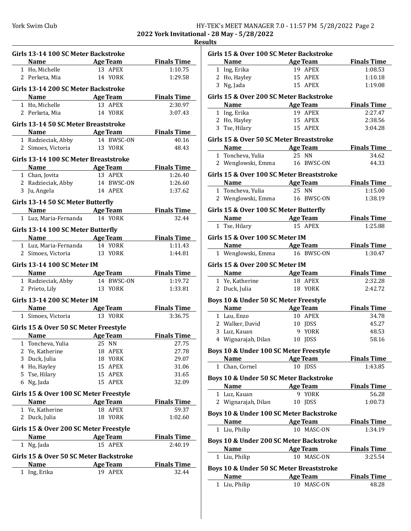## York Swim Club HY-TEK's MEET MANAGER 7.0 - 11:57 PM 5/28/2022 Page 2

**2022 York Invitational - 28 May - 5/28/2022 Results**

| Girls 13-14 100 SC Meter Backstroke    |                           |                    |
|----------------------------------------|---------------------------|--------------------|
| Name Age Team                          |                           | <b>Finals Time</b> |
| 1 Ho, Michelle                         | 13 APEX                   | 1:10.75            |
| 2 Perketa, Mia                         | 14 YORK                   | 1:29.58            |
| Girls 13-14 200 SC Meter Backstroke    |                           |                    |
| <b>Name</b>                            | <b>Example 2</b> Age Team | <b>Finals Time</b> |
| 1 Ho, Michelle                         | 13 APEX                   | 2:30.97            |
| 2 Perketa, Mia                         | 14 YORK                   | 3:07.43            |
| Girls 13-14 50 SC Meter Breaststroke   |                           |                    |
| Name Age Team                          |                           | <b>Finals Time</b> |
| 1 Radzieciak, Abby                     | 14 BWSC-ON                | 40.16              |
| 2 Simoes, Victoria                     | 13 YORK                   | 48.43              |
|                                        |                           |                    |
| Girls 13-14 100 SC Meter Breaststroke  |                           |                    |
| <b>Name Age Team</b>                   |                           | <b>Finals Time</b> |
| 1 Chan, Jovita                         | 13 APEX                   | 1:26.40            |
| 2 Radzieciak, Abby 14 BWSC-ON          |                           | 1:26.60            |
| 3 Ju, Angela                           | 14 APEX                   | 1:37.62            |
| Girls 13-14 50 SC Meter Butterfly      |                           |                    |
| <b>Name Age Team</b>                   |                           | <b>Finals Time</b> |
| 1 Luz, Maria-Fernanda 14 YORK          |                           | 32.44              |
| Girls 13-14 100 SC Meter Butterfly     |                           |                    |
| <b>Name</b>                            | Age Team                  | <b>Finals Time</b> |
| 1 Luz, Maria-Fernanda                  | 14 YORK                   | 1:11.43            |
| 2 Simoes, Victoria                     | 13 YORK                   | 1:44.81            |
| Girls 13-14 100 SC Meter IM            |                           |                    |
| <b>Name</b>                            | <b>Example 2 Age Team</b> | <b>Finals Time</b> |
| 1 Radzieciak, Abby                     |                           | 1:19.72            |
| 2 Prieto, Lily                         | 14   BWSC-ON<br>13   YORK | 1:33.81            |
| <b>Girls 13-14 200 SC Meter IM</b>     |                           |                    |
| <b>Name Age Team</b>                   |                           | <b>Finals Time</b> |
| 1 Simoes, Victoria 13 YORK             |                           | 3:36.75            |
|                                        |                           |                    |
| Girls 15 & Over 50 SC Meter Freestyle  |                           |                    |
| Name Age Team                          |                           | <b>Finals Time</b> |
| Toncheva, Yulia<br>1                   | 25 NN                     | 27.75              |
| 2 Ye, Katherine                        | 18<br>APEX                | 27.78              |
| 3 Duck, Julia                          | 18 YORK                   | 29.07              |
| 4 Ho, Hayley                           | 15 APEX                   | 31.06              |
| 5 Tse, Hilary                          | 15 APEX                   | 31.65              |
| 6 Ng, Jada                             | 15 APEX                   | 32.09              |
| Girls 15 & Over 100 SC Meter Freestyle |                           |                    |
| Name                                   | <b>Age Team</b>           | <b>Finals Time</b> |
| 1 Ye, Katherine                        | 18 APEX                   | 59.37              |
| 2 Duck, Julia                          | 18<br>YORK                | 1:02.60            |
| Girls 15 & Over 200 SC Meter Freestyle |                           |                    |
| <b>Name</b>                            | <b>Age Team</b>           | <b>Finals Time</b> |
| 1 Ng, Jada                             | 15 APEX                   | 2:40.19            |
| Girls 15 & Over 50 SC Meter Backstroke |                           |                    |
| Name                                   | <b>Age Team</b>           | <b>Finals Time</b> |
| 1 Ing, Erika                           | 19 APEX                   | 32.44              |
|                                        |                           |                    |

| Girls 15 & Over 100 SC Meter Backstroke |                                           |                    |
|-----------------------------------------|-------------------------------------------|--------------------|
|                                         | Name Age Team                             | <b>Finals Time</b> |
| 1 Ing, Erika                            | 19 APEX                                   | 1:08.53            |
| 2 Ho, Hayley                            | 15 APEX                                   | 1:10.18            |
| 3 Ng, Jada                              | 15 APEX                                   | 1:19.08            |
| Girls 15 & Over 200 SC Meter Backstroke |                                           |                    |
|                                         | Name Age Team                             | <b>Finals Time</b> |
| 1 Ing, Erika                            | 19 APEX                                   | 2:27.47            |
| 2 Ho, Hayley                            | 15 APEX                                   | 2:38.56            |
| 3 Tse, Hilary                           | 15 APEX                                   | 3:04.28            |
|                                         | Girls 15 & Over 50 SC Meter Breaststroke  |                    |
|                                         | Name Age Team                             | <b>Finals Time</b> |
| 1 Toncheva, Yulia                       | 25 NN                                     | 34.62              |
|                                         | 2 Wenglowski, Emma 16 BWSC-ON             | 44.33              |
|                                         | Girls 15 & Over 100 SC Meter Breaststroke |                    |
|                                         | Name Age Team                             | <b>Finals Time</b> |
| 1 Toncheva, Yulia                       | 25 NN                                     | 1:15.00            |
|                                         | 2 Wenglowski, Emma 16 BWSC-ON             | 1:38.19            |
|                                         |                                           |                    |
| Girls 15 & Over 100 SC Meter Butterfly  |                                           |                    |
|                                         | Name Age Team                             | <b>Finals Time</b> |
| 1 Tse, Hilary                           | 15 APEX                                   | 1:25.88            |
| Girls 15 & Over 100 SC Meter IM         |                                           |                    |
|                                         | Name Age Team                             | <b>Finals Time</b> |
| 1 Wenglowski, Emma                      | 16 BWSC-ON                                | 1:30.47            |
| Girls 15 & Over 200 SC Meter IM         |                                           |                    |
|                                         | Name Age Team                             | <b>Finals Time</b> |
| 1 Ye, Katherine                         | 18 APEX                                   | 2:32.28            |
| 2 Duck, Julia                           | 18 YORK                                   | 2:42.72            |
|                                         |                                           |                    |
| Boys 10 & Under 50 SC Meter Freestyle   |                                           |                    |
|                                         | Name Age Team                             | <b>Finals Time</b> |
| 1 Lau, Enzo                             | 10 APEX                                   | 34.78              |
| 2 Walker, David                         | 10 JDSS                                   | 45.27              |
| 3 Luz, Kauan                            | 9 YORK                                    | 48.53              |
| 4 Wignarajah, Dilan                     | 10 JDSS                                   | 58.16              |
| Boys 10 & Under 100 SC Meter Freestyle  |                                           |                    |
|                                         | Name Age Team                             | <b>Finals Time</b> |
| 1 Chan, Cornel                          | 10 JDSS                                   | 1:43.85            |
| Boys 10 & Under 50 SC Meter Backstroke  |                                           |                    |
| <b>Name</b>                             | <b>Age Team</b>                           | <b>Finals Time</b> |
| 1 Luz, Kauan                            | 9 YORK                                    | 56.28              |
| 2 Wignarajah, Dilan                     | 10 JDSS                                   | 1:00.73            |
|                                         |                                           |                    |
|                                         | Boys 10 & Under 100 SC Meter Backstroke   |                    |
| Name                                    | Age Team                                  | <u>Finals Time</u> |
| 1 Liu, Philip                           | 10 MASC-ON                                | 1:34.19            |
|                                         | Boys 10 & Under 200 SC Meter Backstroke   |                    |
|                                         | Name Age Team                             | <b>Finals Time</b> |
| 1 Liu, Philip                           | 10 MASC-ON                                | 3:25.54            |
|                                         | Boys 10 & Under 50 SC Meter Breaststroke  |                    |
| Name                                    | <b>Age Team</b>                           | <b>Finals Time</b> |
| 1 Liu, Philip                           | 10 MASC-ON                                | 48.28              |
|                                         |                                           |                    |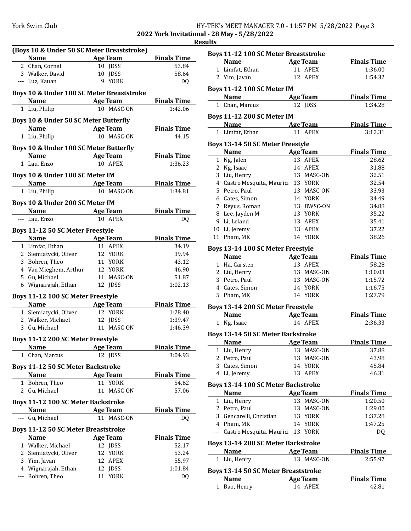|  |  | HY-TEK's MEET MANAGER 7.0 - 11:57 PM 5/28/2022 Page 3 |  |  |  |
|--|--|-------------------------------------------------------|--|--|--|
|  |  | - - - - - - - - -                                     |  |  |  |

**2022 York Invitational - 28 May - 5/28/2022 Results**

|   |                                                                                                                                                                                                                               |         |                 | F                  |
|---|-------------------------------------------------------------------------------------------------------------------------------------------------------------------------------------------------------------------------------|---------|-----------------|--------------------|
|   | (Boys 10 & Under 50 SC Meter Breaststroke)                                                                                                                                                                                    |         |                 |                    |
|   | <b>Name</b><br><b>Example 2 Age Team</b>                                                                                                                                                                                      |         |                 | <b>Finals Time</b> |
|   | 2 Chan, Cornel                                                                                                                                                                                                                |         | 10 JDSS         | 53.84              |
|   | 3 Walker, David                                                                                                                                                                                                               |         | 10 JDSS         | 58.64              |
|   | --- Luz, Kauan                                                                                                                                                                                                                |         | 9 YORK          | DQ                 |
|   |                                                                                                                                                                                                                               |         |                 |                    |
|   | Boys 10 & Under 100 SC Meter Breaststroke                                                                                                                                                                                     |         |                 |                    |
|   | Name Age Team                                                                                                                                                                                                                 |         |                 | <b>Finals Time</b> |
|   | 1 Liu, Philip                                                                                                                                                                                                                 |         | 10 MASC-ON      | 1:42.06            |
|   | Boys 10 & Under 50 SC Meter Butterfly                                                                                                                                                                                         |         |                 |                    |
|   | <b>Name</b><br><b>Example 2 Age Team</b>                                                                                                                                                                                      |         |                 | <b>Finals Time</b> |
|   | 1 Liu, Philip                                                                                                                                                                                                                 |         | 10 MASC-ON      | 44.15              |
|   |                                                                                                                                                                                                                               |         |                 |                    |
|   | Boys 10 & Under 100 SC Meter Butterfly                                                                                                                                                                                        |         |                 |                    |
|   | <b>Name Age Team</b>                                                                                                                                                                                                          |         |                 | <b>Finals Time</b> |
|   | 1 Lau, Enzo                                                                                                                                                                                                                   |         | 10 APEX         | 1:36.23            |
|   | Boys 10 & Under 100 SC Meter IM                                                                                                                                                                                               |         |                 |                    |
|   | <b>Example 20 Age Team</b>                                                                                                                                                                                                    |         |                 | <b>Finals Time</b> |
|   | 1 Liu, Philip                                                                                                                                                                                                                 |         | 10 MASC-ON      | 1:34.81            |
|   |                                                                                                                                                                                                                               |         |                 |                    |
|   | Boys 10 & Under 200 SC Meter IM                                                                                                                                                                                               |         |                 |                    |
|   | <b>Name</b><br><b>Example 2</b> Age Team                                                                                                                                                                                      |         |                 | <b>Finals Time</b> |
|   | --- Lau, Enzo                                                                                                                                                                                                                 |         | 10 APEX         | DQ                 |
|   | Boys 11-12 50 SC Meter Freestyle                                                                                                                                                                                              |         |                 |                    |
|   | <b>Name</b><br>Age Team                                                                                                                                                                                                       |         |                 | <b>Finals Time</b> |
|   | 1 Limfat, Ethan                                                                                                                                                                                                               |         | 11 APEX         | 34.19              |
|   | 2 Siemiatycki, Oliver                                                                                                                                                                                                         |         | 12 YORK         | 39.94              |
|   | 3 Bohren, Theo                                                                                                                                                                                                                |         | 11 YORK         | 43.12              |
|   | 4 Van Mieghem, Arthur                                                                                                                                                                                                         |         | 12 YORK         | 46.90              |
|   | 5 Gu, Michael                                                                                                                                                                                                                 |         | 11 MASC-ON      | 51.87              |
|   | 6 Wignarajah, Ethan                                                                                                                                                                                                           |         | 12 JDSS         | 1:02.13            |
|   | Boys 11-12 100 SC Meter Freestyle                                                                                                                                                                                             |         |                 |                    |
|   | <b>Name</b><br><b>Example 2</b> Age Team                                                                                                                                                                                      |         |                 | <b>Finals Time</b> |
|   | 1 Siemiatycki, Oliver                                                                                                                                                                                                         |         | 12 YORK         | 1:28.40            |
|   | 2 Walker, Michael                                                                                                                                                                                                             | 12 JDSS |                 | 1:39.47            |
|   | 3 Gu, Michael                                                                                                                                                                                                                 |         | 11 MASC-ON      | 1:46.39            |
|   |                                                                                                                                                                                                                               |         |                 |                    |
|   | Boys 11-12 200 SC Meter Freestyle                                                                                                                                                                                             |         |                 |                    |
|   | Name and the same state of the same state of the same state of the same state of the same state of the same state of the same state of the same state of the same state of the same state of the same state of the same state |         | Age Team        | <b>Finals Time</b> |
| 1 | Chan, Marcus                                                                                                                                                                                                                  |         | 12 JDSS         | 3:04.93            |
|   | <b>Boys 11-12 50 SC Meter Backstroke</b>                                                                                                                                                                                      |         |                 |                    |
|   | <b>Name</b>                                                                                                                                                                                                                   |         | <b>Age Team</b> | <b>Finals Time</b> |
|   | 1 Bohren, Theo                                                                                                                                                                                                                |         | 11 YORK         | 54.62              |
|   | 2 Gu, Michael                                                                                                                                                                                                                 | 11      | MASC-ON         | 57.06              |
|   |                                                                                                                                                                                                                               |         |                 |                    |
|   | <b>Boys 11-12 100 SC Meter Backstroke</b>                                                                                                                                                                                     |         |                 |                    |
|   | <b>Name</b><br><b>Example 2 Age Team</b>                                                                                                                                                                                      |         |                 | <b>Finals Time</b> |
|   | Gu, Michael                                                                                                                                                                                                                   |         | 11 MASC-ON      | DQ                 |
|   | <b>Boys 11-12 50 SC Meter Breaststroke</b>                                                                                                                                                                                    |         |                 |                    |
|   | <b>Name</b>                                                                                                                                                                                                                   |         | <b>Age Team</b> | <b>Finals Time</b> |
|   | 1 Walker, Michael                                                                                                                                                                                                             |         | 12 JDSS         | 52.17              |
|   | 2 Siemiatycki, Oliver                                                                                                                                                                                                         |         | 12 YORK         | 53.24              |
|   | 3 Yim, Javan                                                                                                                                                                                                                  |         | 12 APEX         | 55.97              |
|   | 4 Wignarajah, Ethan                                                                                                                                                                                                           |         | 12 JDSS         | 1:01.84            |
|   | --- Bohren, Theo                                                                                                                                                                                                              |         | 11 YORK         | DQ                 |
|   |                                                                                                                                                                                                                               |         |                 |                    |
|   |                                                                                                                                                                                                                               |         |                 |                    |

| <b>Boys 11-12 100 SC Meter Breaststroke</b>                 |    |                          |                    |
|-------------------------------------------------------------|----|--------------------------|--------------------|
| <b>Name</b><br><b>Example 2</b> Age Team                    |    |                          | <b>Finals Time</b> |
| 1 Limfat, Ethan                                             |    | 11 APEX                  | 1:36.00            |
| 2 Yim, Javan                                                |    | 12 APEX                  | 1:54.32            |
| <b>Boys 11-12 100 SC Meter IM</b>                           |    |                          |                    |
| Name Age Team                                               |    |                          | <b>Finals Time</b> |
| 1 Chan, Marcus                                              |    | 12 JDSS                  | 1:34.28            |
|                                                             |    |                          |                    |
| <b>Boys 11-12 200 SC Meter IM</b>                           |    |                          |                    |
| <b>Name</b><br><b>Example 2 Age Team</b>                    |    |                          | <b>Finals Time</b> |
| 1 Limfat, Ethan                                             |    | 11 APEX                  | 3:12.31            |
| Boys 13-14 50 SC Meter Freestyle                            |    |                          |                    |
| Name Age Team                                               |    |                          | <b>Finals Time</b> |
| 1 Ng, Jalen                                                 |    | 13 APEX                  | 28.62              |
| 2 Ng, Isaac                                                 |    | 14 APEX                  | 31.88              |
| 3 Liu, Henry                                                |    | 13 MASC-ON               | 32.51              |
| 4 Castro Mesquita, Maurici 13 YORK                          |    |                          | 32.54              |
| 5 Petro, Paul                                               |    | 13 MASC-ON               | 33.93              |
| 6 Cates, Simon                                              |    | 14 YORK                  | 34.49              |
| 7 Reyus, Roman                                              |    | 13 BWSC-ON               | 34.88              |
| 8 Lee, Jayden M<br>9 Li, Leland                             |    | 13 YORK<br>13 APEX       | 35.22<br>35.41     |
| 10 Li, Jeremy                                               |    | 13 APEX                  | 37.22              |
| 11 Pham, MK                                                 |    | 14 YORK                  | 38.26              |
|                                                             |    |                          |                    |
| Boys 13-14 100 SC Meter Freestyle                           |    |                          |                    |
| Name Age Team                                               |    |                          | <b>Finals Time</b> |
| 1 Ha, Carsten                                               |    | 13 APEX                  | 58.28              |
| 2 Liu, Henry<br>3 Petro, Paul                               |    | 13 MASC-ON<br>13 MASC-ON | 1:10.03<br>1:15.72 |
| 4 Cates, Simon                                              |    | 14 YORK                  | 1:16.75            |
| 5 Pham, MK                                                  |    | 14 YORK                  | 1:27.79            |
|                                                             |    |                          |                    |
| Boys 13-14 200 SC Meter Freestyle                           |    |                          |                    |
| <b>Example 2 Age Team</b><br><b>Name</b>                    |    |                          | <b>Finals Time</b> |
| 1 Ng, Isaac                                                 |    | 14 APEX                  | 2:36.33            |
| <b>Boys 13-14 50 SC Meter Backstroke</b>                    |    |                          |                    |
| <b>Name</b><br>the control of the control of the control of |    | <b>Age Team</b>          | <b>Finals Time</b> |
| 1 Liu, Henry                                                |    | 13 MASC-ON               | 37.88              |
| 2 Petro, Paul                                               |    | 13 MASC-ON               | 43.98              |
| 3 Cates, Simon                                              |    | 14 YORK                  | 45.84              |
| 4 Li, Jeremy                                                | 13 | APEX                     | 46.31              |
| <b>Boys 13-14 100 SC Meter Backstroke</b>                   |    |                          |                    |
| Name                                                        |    | <b>Age Team</b>          | <b>Finals Time</b> |
| 1 Liu, Henry                                                |    | 13 MASC-ON               | 1:20.50            |
| 2 Petro, Paul                                               |    | 13 MASC-ON               | 1:29.00            |
| 3 Gencarelli, Christian                                     |    | 13 YORK                  | 1:37.28            |
| 4 Pham, MK                                                  |    | 14 YORK                  | 1:47.25            |
| --- Castro Mesquita, Maurici                                |    | 13 YORK                  | D <sub>O</sub>     |
| <b>Boys 13-14 200 SC Meter Backstroke</b>                   |    |                          |                    |
| <b>Name</b>                                                 |    | <b>Age Team</b>          | <b>Finals Time</b> |
| 1 Liu, Henry                                                |    | 13 MASC-ON               | 2:55.97            |
| <b>Boys 13-14 50 SC Meter Breaststroke</b>                  |    |                          |                    |
| <b>Name</b>                                                 |    | <b>Age Team</b>          | <b>Finals Time</b> |
| 1 Bao, Henry                                                |    | 14 APEX                  | 42.81              |
|                                                             |    |                          |                    |